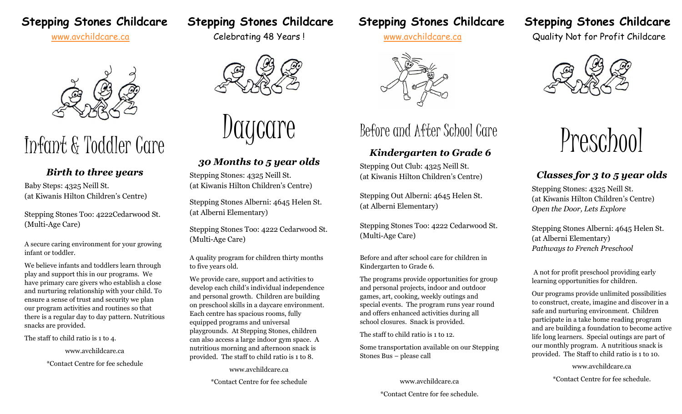



# Infant & Toddler Care

# *Birth to three years*

Baby Steps: 4325 Neill St. (at Kiwanis Hilton Children's Centre)

Stepping Stones Too: 4222Cedarwood St. (Multi-Age Care)

A secure caring environment for your growing infant or toddler.

We believe infants and toddlers learn through play and support this in our programs. We have primary care givers who establish a close and nurturing relationship with your child. To ensure a sense of trust and security we plan our program activities and routines so that there is a regular day to day pattern. Nutritious snacks are provided.

The staff to child ratio is 1 to 4.

www.avchildcare.ca

\*Contact Centre for fee schedule



care

# *30 Months to 5 year olds*

Stepping Stones: 4325 Neill St. (at Kiwanis Hilton Children's Centre)

Stepping Stones Alberni: 4645 Helen St. (at Alberni Elementary)

Stepping Stones Too: 4222 Cedarwood St. (Multi-Age Care)

A quality program for children thirty months to five years old.

We provide care, support and activities to develop each child's individual independence and personal growth. Children are building on preschool skills in a daycare environment. Each centre has spacious rooms, fully equipped programs and universal playgrounds. At Stepping Stones, children can also access a large indoor gym space. A nutritious morning and afternoon snack is provided. The staff to child ratio is 1 to 8.

www.avchildcare.ca

\*Contact Centre for fee schedule

# **Stepping Stones Childcare Stepping Stones Childcare Stepping Stones Childcare Stepping Stones Childcare**



# Before and After School Care

# *Kindergarten to Grade 6*

Stepping Out Club: 4325 Neill St. (at Kiwanis Hilton Children's Centre)

Stepping Out Alberni: 4645 Helen St. (at Alberni Elementary)

Stepping Stones Too: 4222 Cedarwood St. (Multi-Age Care)

Before and after school care for children in Kindergarten to Grade 6.

The programs provide opportunities for group and personal projects, indoor and outdoor games, art, cooking, weekly outings and special events. The program runs year round and offers enhanced activities during all school closures. Snack is provided.

The staff to child ratio is 1 to 12.

Some transportation available on our Stepping Stones Bus – please call

> www.avchildcare.ca \*Contact Centre for fee schedule.

[www.avchildcare.ca](http://www.avchildcare.ca/) Celebrating 48 Years! www.avchildcare.ca Quality Not for Profit Childcare





# *Classes for 3 to 5 year olds*

Stepping Stones: 4325 Neill St. (at Kiwanis Hilton Children's Centre) *Open the Door, Lets Explore* 

Stepping Stones Alberni: 4645 Helen St. (at Alberni Elementary) *Pathways to French Preschool*

A not for profit preschool providing early learning opportunities for children.

Our programs provide unlimited possibilities to construct, create, imagine and discover in a safe and nurturing environment. Children participate in a take home reading program and are building a foundation to become active life long learners. Special outings are part of our monthly program. A nutritious snack is provided. The Staff to child ratio is 1 to 10.

www.avchildcare.ca

\*Contact Centre for fee schedule.